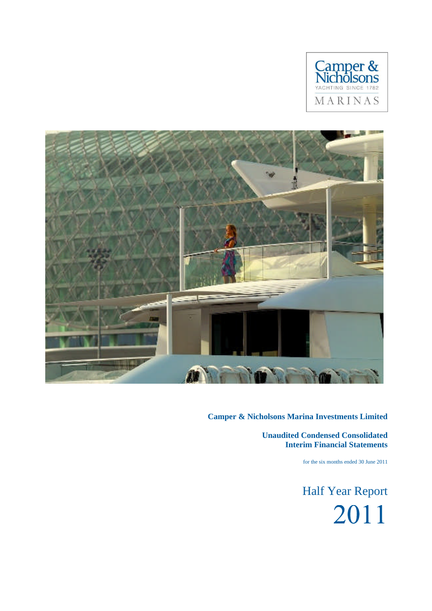



**Unaudited Condensed Consolidated Interim Financial Statements**

for the six months ended 30 June 2011

Half Year Report2011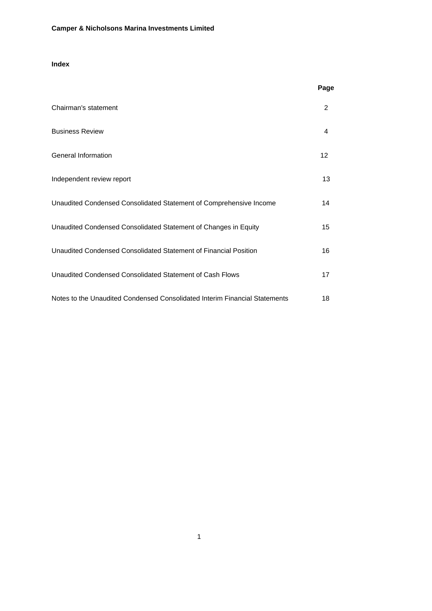# **Index**

|                                                                            | Page           |
|----------------------------------------------------------------------------|----------------|
| Chairman's statement                                                       | $\overline{2}$ |
| <b>Business Review</b>                                                     | 4              |
| <b>General Information</b>                                                 | 12             |
| Independent review report                                                  | 13             |
| Unaudited Condensed Consolidated Statement of Comprehensive Income         | 14             |
| Unaudited Condensed Consolidated Statement of Changes in Equity            | 15             |
| Unaudited Condensed Consolidated Statement of Financial Position           | 16             |
| Unaudited Condensed Consolidated Statement of Cash Flows                   | 17             |
| Notes to the Unaudited Condensed Consolidated Interim Financial Statements | 18             |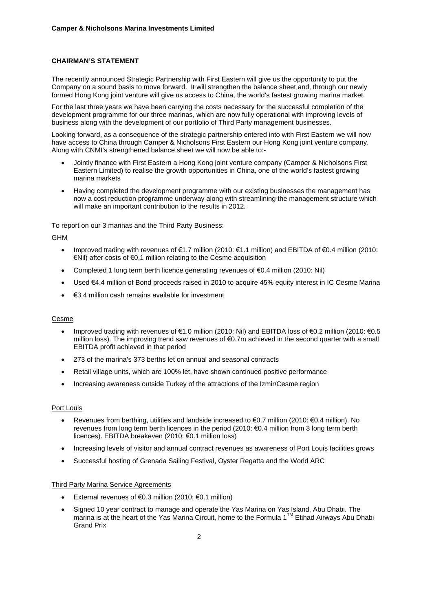## **CHAIRMAN'S STATEMENT**

The recently announced Strategic Partnership with First Eastern will give us the opportunity to put the Company on a sound basis to move forward. It will strengthen the balance sheet and, through our newly formed Hong Kong joint venture will give us access to China, the world's fastest growing marina market.

For the last three years we have been carrying the costs necessary for the successful completion of the development programme for our three marinas, which are now fully operational with improving levels of business along with the development of our portfolio of Third Party management businesses.

Looking forward, as a consequence of the strategic partnership entered into with First Eastern we will now have access to China through Camper & Nicholsons First Eastern our Hong Kong joint venture company. Along with CNMI's strengthened balance sheet we will now be able to:-

- Jointly finance with First Eastern a Hong Kong joint venture company (Camper & Nicholsons First Eastern Limited) to realise the growth opportunities in China, one of the world's fastest growing marina markets
- Having completed the development programme with our existing businesses the management has now a cost reduction programme underway along with streamlining the management structure which will make an important contribution to the results in 2012.

To report on our 3 marinas and the Third Party Business:

## GHM

- Improved trading with revenues of €1.7 million (2010: €1.1 million) and EBITDA of €0.4 million (2010: €Nil) after costs of €0.1 million relating to the Cesme acquisition
- Completed 1 long term berth licence generating revenues of €0.4 million (2010: Nil)
- Used €4.4 million of Bond proceeds raised in 2010 to acquire 45% equity interest in IC Cesme Marina
- €3.4 million cash remains available for investment

## Cesme

- Improved trading with revenues of €1.0 million (2010: Nil) and EBITDA loss of €0.2 million (2010: €0.5 million loss). The improving trend saw revenues of €0.7m achieved in the second quarter with a small EBITDA profit achieved in that period
- 273 of the marina's 373 berths let on annual and seasonal contracts
- Retail village units, which are 100% let, have shown continued positive performance
- Increasing awareness outside Turkey of the attractions of the Izmir/Cesme region

### Port Louis

- Revenues from berthing, utilities and landside increased to €0.7 million (2010: €0.4 million). No revenues from long term berth licences in the period (2010: €0.4 million from 3 long term berth licences). EBITDA breakeven (2010: €0.1 million loss)
- Increasing levels of visitor and annual contract revenues as awareness of Port Louis facilities grows
- Successful hosting of Grenada Sailing Festival, Oyster Regatta and the World ARC

### Third Party Marina Service Agreements

- External revenues of €0.3 million (2010: €0.1 million)
- Signed 10 year contract to manage and operate the Yas Marina on Yas Island, Abu Dhabi. The marina is at the heart of the Yas Marina Circuit, home to the Formula 1™ Etihad Airways Abu Dhabi Grand Prix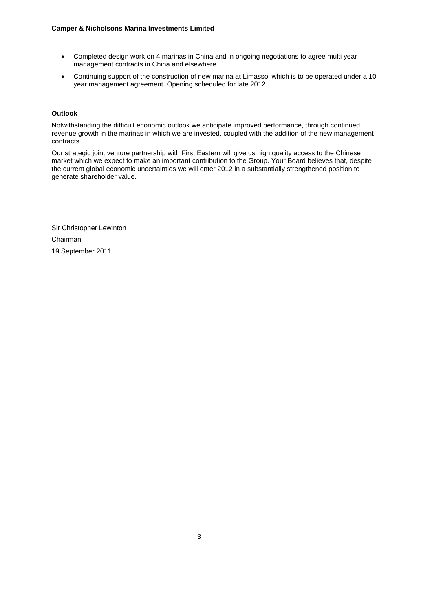- Completed design work on 4 marinas in China and in ongoing negotiations to agree multi year management contracts in China and elsewhere
- Continuing support of the construction of new marina at Limassol which is to be operated under a 10 year management agreement. Opening scheduled for late 2012

## **Outlook**

Notwithstanding the difficult economic outlook we anticipate improved performance, through continued revenue growth in the marinas in which we are invested, coupled with the addition of the new management contracts.

Our strategic joint venture partnership with First Eastern will give us high quality access to the Chinese market which we expect to make an important contribution to the Group. Your Board believes that, despite the current global economic uncertainties we will enter 2012 in a substantially strengthened position to generate shareholder value.

Sir Christopher Lewinton Chairman 19 September 2011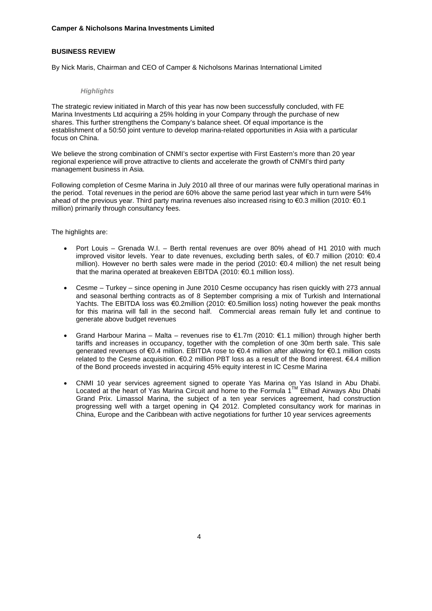## **BUSINESS REVIEW**

By Nick Maris, Chairman and CEO of Camper & Nicholsons Marinas International Limited

## *Highlights*

The strategic review initiated in March of this year has now been successfully concluded, with FE Marina Investments Ltd acquiring a 25% holding in your Company through the purchase of new shares. This further strengthens the Company's balance sheet. Of equal importance is the establishment of a 50:50 joint venture to develop marina-related opportunities in Asia with a particular focus on China.

We believe the strong combination of CNMI's sector expertise with First Eastern's more than 20 year regional experience will prove attractive to clients and accelerate the growth of CNMI's third party management business in Asia.

Following completion of Cesme Marina in July 2010 all three of our marinas were fully operational marinas in the period. Total revenues in the period are 60% above the same period last year which in turn were 54% ahead of the previous year. Third party marina revenues also increased rising to €0.3 million (2010: €0.1 million) primarily through consultancy fees.

The highlights are:

- Port Louis Grenada W.I. Berth rental revenues are over 80% ahead of H1 2010 with much improved visitor levels. Year to date revenues, excluding berth sales, of €0.7 million (2010: €0.4 million). However no berth sales were made in the period (2010: €0.4 million) the net result being that the marina operated at breakeven EBITDA (2010: €0.1 million loss).
- Cesme Turkey since opening in June 2010 Cesme occupancy has risen quickly with 273 annual and seasonal berthing contracts as of 8 September comprising a mix of Turkish and International Yachts. The EBITDA loss was €0.2million (2010: €0.5million loss) noting however the peak months for this marina will fall in the second half. Commercial areas remain fully let and continue to generate above budget revenues
- Grand Harbour Marina Malta revenues rise to €1.7m (2010: €1.1 million) through higher berth tariffs and increases in occupancy, together with the completion of one 30m berth sale. This sale generated revenues of €0.4 million. EBITDA rose to €0.4 million after allowing for €0.1 million costs related to the Cesme acquisition. €0.2 million PBT loss as a result of the Bond interest. €4.4 million of the Bond proceeds invested in acquiring 45% equity interest in IC Cesme Marina
- CNMI 10 year services agreement signed to operate Yas Marina on Yas Island in Abu Dhabi. Located at the heart of Yas Marina Circuit and home to the Formula 1™ Etihad Airways Abu Dhabi Grand Prix. Limassol Marina, the subject of a ten year services agreement, had construction progressing well with a target opening in Q4 2012. Completed consultancy work for marinas in China, Europe and the Caribbean with active negotiations for further 10 year services agreements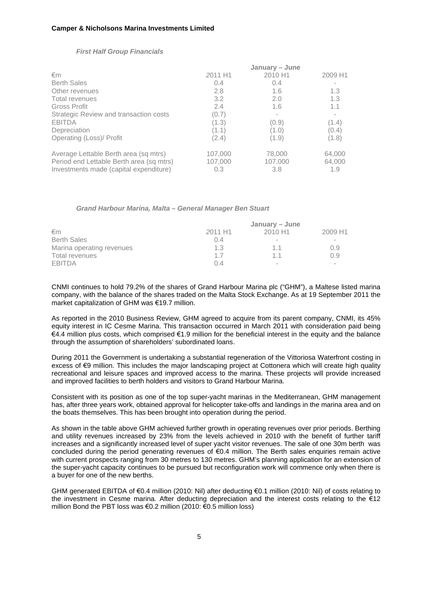|                                          | January - June |         |         |  |  |
|------------------------------------------|----------------|---------|---------|--|--|
| €m                                       | 2011 H1        | 2010 H1 | 2009 H1 |  |  |
| <b>Berth Sales</b>                       | 0.4            | 0.4     |         |  |  |
| Other revenues                           | 2.8            | 1.6     | 1.3     |  |  |
| <b>Total revenues</b>                    | 3.2            | 2.0     | 1.3     |  |  |
| Gross Profit                             | 2.4            | 1.6     | 1.1     |  |  |
| Strategic Review and transaction costs   | (0.7)          |         |         |  |  |
| <b>EBITDA</b>                            | (1.3)          | (0.9)   | (1.4)   |  |  |
| Depreciation                             | (1.1)          | (1.0)   | (0.4)   |  |  |
| Operating (Loss)/ Profit                 | (2.4)          | (1.9)   | (1.8)   |  |  |
| Average Lettable Berth area (sq mtrs)    | 107,000        | 78,000  | 64,000  |  |  |
| Period end Lettable Berth area (sq mtrs) | 107,000        | 107,000 | 64,000  |  |  |
| Investments made (capital expenditure)   | 0.3            | 3.8     | 1.9     |  |  |

#### *First Half Group Financials*

*Grand Harbour Marina, Malta – General Manager Ben Stuart*

|                           | January – June      |                     |                          |  |
|---------------------------|---------------------|---------------------|--------------------------|--|
| €m                        | 2011 H <sub>1</sub> | 2010 H <sub>1</sub> | 2009 H1                  |  |
| <b>Berth Sales</b>        | 0.4                 | $\sim$              | $\sim$                   |  |
| Marina operating revenues | 1.3                 | 1.1                 | 0.9                      |  |
| Total revenues            | 17                  | 11                  | 0.9                      |  |
| <b>EBITDA</b>             | $\Omega$ 4          | ۰                   | $\overline{\phantom{a}}$ |  |

CNMI continues to hold 79.2% of the shares of Grand Harbour Marina plc ("GHM"), a Maltese listed marina company, with the balance of the shares traded on the Malta Stock Exchange. As at 19 September 2011 the market capitalization of GHM was €19.7 million.

As reported in the 2010 Business Review, GHM agreed to acquire from its parent company, CNMI, its 45% equity interest in IC Cesme Marina. This transaction occurred in March 2011 with consideration paid being €4.4 million plus costs, which comprised €1.9 million for the beneficial interest in the equity and the balance through the assumption of shareholders' subordinated loans.

During 2011 the Government is undertaking a substantial regeneration of the Vittoriosa Waterfront costing in excess of €9 million. This includes the major landscaping project at Cottonera which will create high quality recreational and leisure spaces and improved access to the marina. These projects will provide increased and improved facilities to berth holders and visitors to Grand Harbour Marina.

Consistent with its position as one of the top super-yacht marinas in the Mediterranean, GHM management has, after three years work, obtained approval for helicopter take-offs and landings in the marina area and on the boats themselves. This has been brought into operation during the period.

As shown in the table above GHM achieved further growth in operating revenues over prior periods. Berthing and utility revenues increased by 23% from the levels achieved in 2010 with the benefit of further tariff increases and a significantly increased level of super yacht visitor revenues. The sale of one 30m berth was concluded during the period generating revenues of €0.4 million. The Berth sales enquiries remain active with current prospects ranging from 30 metres to 130 metres. GHM's planning application for an extension of the super-yacht capacity continues to be pursued but reconfiguration work will commence only when there is a buyer for one of the new berths.

GHM generated EBITDA of €0.4 million (2010: Nil) after deducting €0.1 million (2010: Nil) of costs relating to the investment in Cesme marina. After deducting depreciation and the interest costs relating to the €12 million Bond the PBT loss was €0.2 million (2010: €0.5 million loss)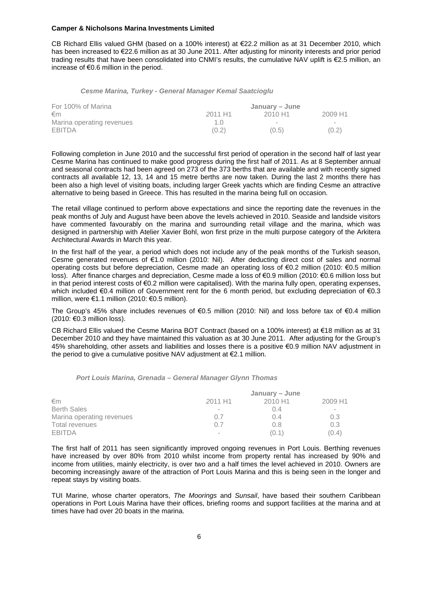CB Richard Ellis valued GHM (based on a 100% interest) at €22.2 million as at 31 December 2010, which has been increased to €22.6 million as at 30 June 2011. After adjusting for minority interests and prior period trading results that have been consolidated into CNMI's results, the cumulative NAV uplift is €2.5 million, an increase of €0.6 million in the period.

#### *Cesme Marina, Turkey - General Manager Kemal Saatcioglu*

| For 100% of Marina        |                     | January – June |                     |
|---------------------------|---------------------|----------------|---------------------|
| €m                        | 2011 H <sub>1</sub> | 2010 H1        | 2009 H <sub>1</sub> |
| Marina operating revenues | 1 ()                | -              |                     |
| <b>EBITDA</b>             | (0.2)               | (0.5)          | (0.2)               |

Following completion in June 2010 and the successful first period of operation in the second half of last year Cesme Marina has continued to make good progress during the first half of 2011. As at 8 September annual and seasonal contracts had been agreed on 273 of the 373 berths that are available and with recently signed contracts all available 12, 13, 14 and 15 metre berths are now taken. During the last 2 months there has been also a high level of visiting boats, including larger Greek yachts which are finding Cesme an attractive alternative to being based in Greece. This has resulted in the marina being full on occasion.

The retail village continued to perform above expectations and since the reporting date the revenues in the peak months of July and August have been above the levels achieved in 2010. Seaside and landside visitors have commented favourably on the marina and surrounding retail village and the marina, which was designed in partnership with Atelier Xavier Bohl, won first prize in the multi purpose category of the Arkitera Architectural Awards in March this year.

In the first half of the year, a period which does not include any of the peak months of the Turkish season, Cesme generated revenues of €1.0 million (2010: Nil). After deducting direct cost of sales and normal operating costs but before depreciation, Cesme made an operating loss of €0.2 million (2010: €0.5 million loss). After finance charges and depreciation, Cesme made a loss of €0.9 million (2010: €0.6 million loss but in that period interest costs of €0.2 million were capitalised). With the marina fully open, operating expenses, which included €0.4 million of Government rent for the 6 month period, but excluding depreciation of €0.3 million, were €1.1 million (2010: €0.5 million).

The Group's 45% share includes revenues of €0.5 million (2010: Nil) and loss before tax of €0.4 million (2010: €0.3 million loss).

CB Richard Ellis valued the Cesme Marina BOT Contract (based on a 100% interest) at €18 million as at 31 December 2010 and they have maintained this valuation as at 30 June 2011. After adjusting for the Group's 45% shareholding, other assets and liabilities and losses there is a positive €0.9 million NAV adjustment in the period to give a cumulative positive NAV adjustment at  $\epsilon$ 2.1 million.

#### *Port Louis Marina, Grenada – General Manager Glynn Thomas*

|                           | January – June           |         |                          |  |
|---------------------------|--------------------------|---------|--------------------------|--|
| €m                        | 2011 H1                  | 2010 H1 | 2009 H1                  |  |
| <b>Berth Sales</b>        | $\overline{\phantom{a}}$ | 0.4     | $\overline{\phantom{a}}$ |  |
| Marina operating revenues | 0.7                      | 0.4     | 0.3                      |  |
| Total revenues            | 0.7                      | 0.8     | 0.3                      |  |
| <b>EBITDA</b>             | $\overline{\phantom{a}}$ | (0.1)   | (0.4)                    |  |

The first half of 2011 has seen significantly improved ongoing revenues in Port Louis. Berthing revenues have increased by over 80% from 2010 whilst income from property rental has increased by 90% and income from utilities, mainly electricity, is over two and a half times the level achieved in 2010. Owners are becoming increasingly aware of the attraction of Port Louis Marina and this is being seen in the longer and repeat stays by visiting boats.

TUI Marine, whose charter operators, *The Moorings* and *Sunsail*, have based their southern Caribbean operations in Port Louis Marina have their offices, briefing rooms and support facilities at the marina and at times have had over 20 boats in the marina.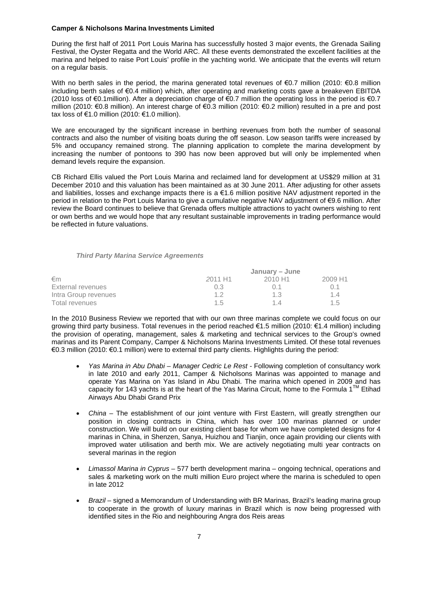During the first half of 2011 Port Louis Marina has successfully hosted 3 major events, the Grenada Sailing Festival, the Oyster Regatta and the World ARC. All these events demonstrated the excellent facilities at the marina and helped to raise Port Louis' profile in the yachting world. We anticipate that the events will return on a regular basis.

With no berth sales in the period, the marina generated total revenues of €0.7 million (2010: €0.8 million including berth sales of €0.4 million) which, after operating and marketing costs gave a breakeven EBITDA (2010 loss of €0.1million). After a depreciation charge of €0.7 million the operating loss in the period is €0.7 million (2010: €0.8 million). An interest charge of €0.3 million (2010: €0.2 million) resulted in a pre and post tax loss of €1.0 million (2010: €1.0 million).

We are encouraged by the significant increase in berthing revenues from both the number of seasonal contracts and also the number of visiting boats during the off season. Low season tariffs were increased by 5% and occupancy remained strong. The planning application to complete the marina development by increasing the number of pontoons to 390 has now been approved but will only be implemented when demand levels require the expansion.

CB Richard Ellis valued the Port Louis Marina and reclaimed land for development at US\$29 million at 31 December 2010 and this valuation has been maintained as at 30 June 2011. After adjusting for other assets and liabilities, losses and exchange impacts there is a €1.6 million positive NAV adjustment reported in the period in relation to the Port Louis Marina to give a cumulative negative NAV adjustment of €9.6 million. After review the Board continues to believe that Grenada offers multiple attractions to yacht owners wishing to rent or own berths and we would hope that any resultant sustainable improvements in trading performance would be reflected in future valuations.

#### *Third Party Marina Service Agreements*

|                      | January – June      |                     |         |  |
|----------------------|---------------------|---------------------|---------|--|
| €m                   | 2011 H <sub>1</sub> | 2010 H <sub>1</sub> | 2009 H1 |  |
| External revenues    | 0.3                 | () 1                |         |  |
| Intra Group revenues | 12                  | 1.3                 | 14      |  |
| Total revenues       | 1.5                 | 14                  | 1.5     |  |

In the 2010 Business Review we reported that with our own three marinas complete we could focus on our growing third party business. Total revenues in the period reached €1.5 million (2010: €1.4 million) including the provision of operating, management, sales & marketing and technical services to the Group's owned marinas and its Parent Company, Camper & Nicholsons Marina Investments Limited. Of these total revenues €0.3 million (2010: €0.1 million) were to external third party clients. Highlights during the period:

- *Yas Marina in Abu Dhabi Manager Cedric Le Rest -* Following completion of consultancy work in late 2010 and early 2011, Camper & Nicholsons Marinas was appointed to manage and operate Yas Marina on Yas Island in Abu Dhabi. The marina which opened in 2009 and has capacity for 143 yachts is at the heart of the Yas Marina Circuit, home to the Formula 1<sup>™</sup> Etihad Airways Abu Dhabi Grand Prix
- *China* The establishment of our joint venture with First Eastern, will greatly strengthen our position in closing contracts in China, which has over 100 marinas planned or under construction. We will build on our existing client base for whom we have completed designs for 4 marinas in China, in Shenzen, Sanya, Huizhou and Tianjin, once again providing our clients with improved water utilisation and berth mix. We are actively negotiating multi year contracts on several marinas in the region
- *Limassol Marina in Cyprus* 577 berth development marina ongoing technical, operations and sales & marketing work on the multi million Euro project where the marina is scheduled to open in late 2012
- *Brazil –* signed a Memorandum of Understanding with BR Marinas, Brazil's leading marina group to cooperate in the growth of luxury marinas in Brazil which is now being progressed with identified sites in the Rio and neighbouring Angra dos Reis areas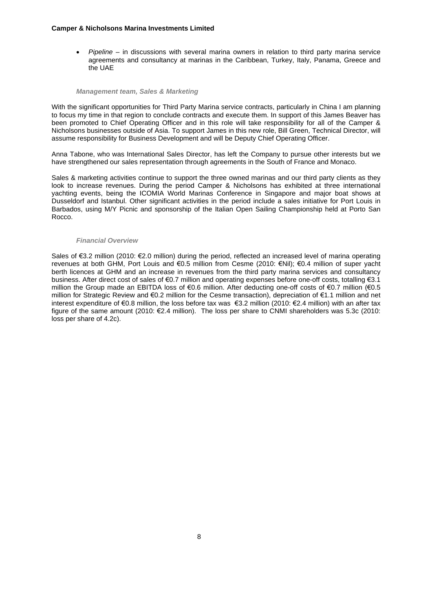*Pipeline* – in discussions with several marina owners in relation to third party marina service agreements and consultancy at marinas in the Caribbean, Turkey, Italy, Panama, Greece and the UAE

#### *Management team, Sales & Marketing*

With the significant opportunities for Third Party Marina service contracts, particularly in China I am planning to focus my time in that region to conclude contracts and execute them. In support of this James Beaver has been promoted to Chief Operating Officer and in this role will take responsibility for all of the Camper & Nicholsons businesses outside of Asia. To support James in this new role, Bill Green, Technical Director, will assume responsibility for Business Development and will be Deputy Chief Operating Officer.

Anna Tabone, who was International Sales Director, has left the Company to pursue other interests but we have strengthened our sales representation through agreements in the South of France and Monaco.

Sales & marketing activities continue to support the three owned marinas and our third party clients as they look to increase revenues. During the period Camper & Nicholsons has exhibited at three international yachting events, being the ICOMIA World Marinas Conference in Singapore and major boat shows at Dusseldorf and Istanbul. Other significant activities in the period include a sales initiative for Port Louis in Barbados, using M/Y Picnic and sponsorship of the Italian Open Sailing Championship held at Porto San Rocco.

#### *Financial Overview*

Sales of €3.2 million (2010: €2.0 million) during the period, reflected an increased level of marina operating revenues at both GHM, Port Louis and €0.5 million from Cesme (2010: €Nil); €0.4 million of super yacht berth licences at GHM and an increase in revenues from the third party marina services and consultancy business. After direct cost of sales of €0.7 million and operating expenses before one-off costs, totalling €3.1 million the Group made an EBITDA loss of €0.6 million. After deducting one-off costs of €0.7 million (€0.5 million for Strategic Review and €0.2 million for the Cesme transaction), depreciation of €1.1 million and net interest expenditure of €0.8 million, the loss before tax was €3.2 million (2010: €2.4 million) with an after tax figure of the same amount (2010: €2.4 million). The loss per share to CNMI shareholders was 5.3c (2010: loss per share of 4.2c).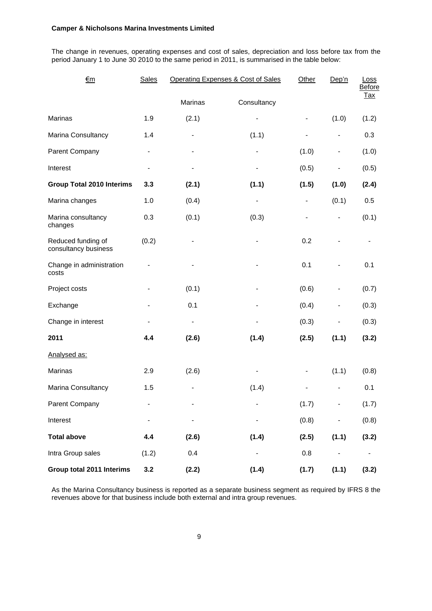The change in revenues, operating expenses and cost of sales, depreciation and loss before tax from the period January 1 to June 30 2010 to the same period in 2011, is summarised in the table below:

| €m                                         | <b>Sales</b>                 | Operating Expenses & Cost of Sales | Other                        | Dep'n                        | Loss<br><b>Before</b>        |            |
|--------------------------------------------|------------------------------|------------------------------------|------------------------------|------------------------------|------------------------------|------------|
|                                            |                              | Marinas                            | Consultancy                  |                              |                              | <u>Tax</u> |
| <b>Marinas</b>                             | 1.9                          | (2.1)                              | $\blacksquare$               | $\qquad \qquad \blacksquare$ | (1.0)                        | (1.2)      |
| Marina Consultancy                         | 1.4                          | $\qquad \qquad \blacksquare$       | (1.1)                        | $\qquad \qquad \blacksquare$ | $\qquad \qquad \blacksquare$ | 0.3        |
| Parent Company                             | $\blacksquare$               |                                    | $\qquad \qquad \blacksquare$ | (1.0)                        | $\qquad \qquad \blacksquare$ | (1.0)      |
| Interest                                   | $\overline{\phantom{a}}$     | $\qquad \qquad \blacksquare$       | $\blacksquare$               | (0.5)                        | $\qquad \qquad \blacksquare$ | (0.5)      |
| <b>Group Total 2010 Interims</b>           | 3.3                          | (2.1)                              | (1.1)                        | (1.5)                        | (1.0)                        | (2.4)      |
| Marina changes                             | 1.0                          | (0.4)                              | $\qquad \qquad \blacksquare$ | $\qquad \qquad \blacksquare$ | (0.1)                        | 0.5        |
| Marina consultancy<br>changes              | 0.3                          | (0.1)                              | (0.3)                        | $\qquad \qquad \blacksquare$ | $\overline{\phantom{a}}$     | (0.1)      |
| Reduced funding of<br>consultancy business | (0.2)                        |                                    |                              | 0.2                          |                              |            |
| Change in administration<br>costs          |                              |                                    | -                            | 0.1                          |                              | 0.1        |
| Project costs                              | $\blacksquare$               | (0.1)                              | $\blacksquare$               | (0.6)                        | $\qquad \qquad \blacksquare$ | (0.7)      |
| Exchange                                   |                              | 0.1                                |                              | (0.4)                        | $\overline{\phantom{0}}$     | (0.3)      |
| Change in interest                         | $\qquad \qquad \blacksquare$ | $\qquad \qquad \blacksquare$       | $\blacksquare$               | (0.3)                        |                              | (0.3)      |
| 2011                                       | 4.4                          | (2.6)                              | (1.4)                        | (2.5)                        | (1.1)                        | (3.2)      |
| Analysed as:                               |                              |                                    |                              |                              |                              |            |
| Marinas                                    | 2.9                          | (2.6)                              | $\overline{\phantom{0}}$     |                              | (1.1)                        | (0.8)      |
| Marina Consultancy                         | 1.5                          |                                    | (1.4)                        |                              |                              | 0.1        |
| Parent Company                             | -                            |                                    |                              | (1.7)                        |                              | (1.7)      |
| Interest                                   |                              |                                    |                              | (0.8)                        |                              | (0.8)      |
| <b>Total above</b>                         | 4.4                          | (2.6)                              | (1.4)                        | (2.5)                        | (1.1)                        | (3.2)      |
| Intra Group sales                          | (1.2)                        | 0.4                                |                              | 0.8                          |                              |            |
| Group total 2011 Interims                  | 3.2                          | (2.2)                              | (1.4)                        | (1.7)                        | (1.1)                        | (3.2)      |

As the Marina Consultancy business is reported as a separate business segment as required by IFRS 8 the revenues above for that business include both external and intra group revenues.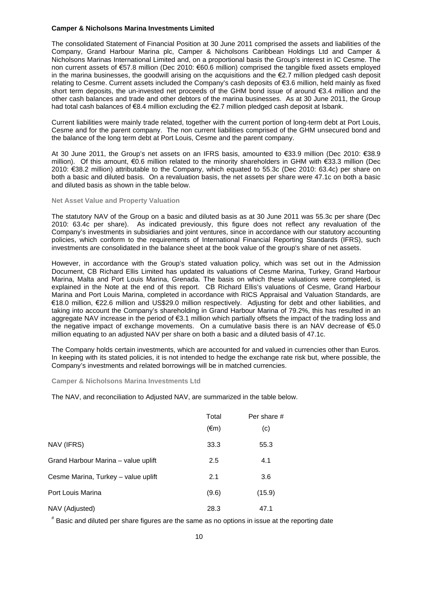The consolidated Statement of Financial Position at 30 June 2011 comprised the assets and liabilities of the Company, Grand Harbour Marina plc, Camper & Nicholsons Caribbean Holdings Ltd and Camper & Nicholsons Marinas International Limited and, on a proportional basis the Group's interest in IC Cesme. The non current assets of €57.8 million (Dec 2010: €60.6 million) comprised the tangible fixed assets employed in the marina businesses, the goodwill arising on the acquisitions and the €2.7 million pledged cash deposit relating to Cesme. Current assets included the Company's cash deposits of €3.6 million, held mainly as fixed short term deposits, the un-invested net proceeds of the GHM bond issue of around €3.4 million and the other cash balances and trade and other debtors of the marina businesses. As at 30 June 2011, the Group had total cash balances of €8.4 million excluding the €2.7 million pledged cash deposit at Isbank.

Current liabilities were mainly trade related, together with the current portion of long-term debt at Port Louis, Cesme and for the parent company. The non current liabilities comprised of the GHM unsecured bond and the balance of the long term debt at Port Louis, Cesme and the parent company.

At 30 June 2011, the Group's net assets on an IFRS basis, amounted to €33.9 million (Dec 2010: €38.9 million). Of this amount, €0.6 million related to the minority shareholders in GHM with €33.3 million (Dec 2010: €38.2 million) attributable to the Company, which equated to 55.3c (Dec 2010: 63.4c) per share on both a basic and diluted basis. On a revaluation basis, the net assets per share were 47.1c on both a basic and diluted basis as shown in the table below.

#### **Net Asset Value and Property Valuation**

The statutory NAV of the Group on a basic and diluted basis as at 30 June 2011 was 55.3c per share (Dec 2010: 63.4c per share). As indicated previously, this figure does not reflect any revaluation of the Company's investments in subsidiaries and joint ventures, since in accordance with our statutory accounting policies, which conform to the requirements of International Financial Reporting Standards (IFRS), such investments are consolidated in the balance sheet at the book value of the group's share of net assets.

However, in accordance with the Group's stated valuation policy, which was set out in the Admission Document, CB Richard Ellis Limited has updated its valuations of Cesme Marina, Turkey, Grand Harbour Marina, Malta and Port Louis Marina, Grenada. The basis on which these valuations were completed, is explained in the Note at the end of this report. CB Richard Ellis's valuations of Cesme, Grand Harbour Marina and Port Louis Marina, completed in accordance with RICS Appraisal and Valuation Standards, are €18.0 million, €22.6 million and US\$29.0 million respectively. Adjusting for debt and other liabilities, and taking into account the Company's shareholding in Grand Harbour Marina of 79.2%, this has resulted in an aggregate NAV increase in the period of €3.1 million which partially offsets the impact of the trading loss and the negative impact of exchange movements. On a cumulative basis there is an NAV decrease of €5.0 million equating to an adjusted NAV per share on both a basic and a diluted basis of 47.1c.

The Company holds certain investments, which are accounted for and valued in currencies other than Euros. In keeping with its stated policies, it is not intended to hedge the exchange rate risk but, where possible, the Company's investments and related borrowings will be in matched currencies.

#### **Camper & Nicholsons Marina Investments Ltd**

The NAV, and reconciliation to Adjusted NAV, are summarized in the table below.

|                                     | Total          | Per share # |  |
|-------------------------------------|----------------|-------------|--|
|                                     | $(\epsilon m)$ | (c)         |  |
| NAV (IFRS)                          | 33.3           | 55.3        |  |
| Grand Harbour Marina - value uplift | 2.5            | 4.1         |  |
| Cesme Marina, Turkey - value uplift | 2.1            | 3.6         |  |
| Port Louis Marina                   | (9.6)          | (15.9)      |  |
| NAV (Adjusted)                      | 28.3           | 47.1        |  |

# Basic and diluted per share figures are the same as no options in issue at the reporting date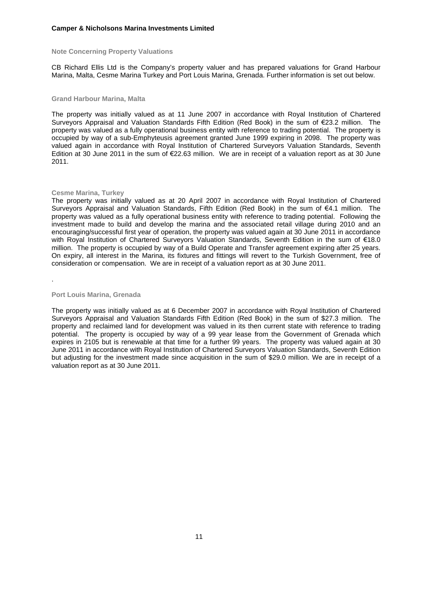#### **Note Concerning Property Valuations**

CB Richard Ellis Ltd is the Company's property valuer and has prepared valuations for Grand Harbour Marina, Malta, Cesme Marina Turkey and Port Louis Marina, Grenada. Further information is set out below.

#### **Grand Harbour Marina, Malta**

The property was initially valued as at 11 June 2007 in accordance with Royal Institution of Chartered Surveyors Appraisal and Valuation Standards Fifth Edition (Red Book) in the sum of €23.2 million. The property was valued as a fully operational business entity with reference to trading potential. The property is occupied by way of a sub-Emphyteusis agreement granted June 1999 expiring in 2098. The property was valued again in accordance with Royal Institution of Chartered Surveyors Valuation Standards, Seventh Edition at 30 June 2011 in the sum of €22.63 million. We are in receipt of a valuation report as at 30 June 2011.

### **Cesme Marina, Turkey**

The property was initially valued as at 20 April 2007 in accordance with Royal Institution of Chartered Surveyors Appraisal and Valuation Standards, Fifth Edition (Red Book) in the sum of €4.1 million. The property was valued as a fully operational business entity with reference to trading potential. Following the investment made to build and develop the marina and the associated retail village during 2010 and an encouraging/successful first year of operation, the property was valued again at 30 June 2011 in accordance with Royal Institution of Chartered Surveyors Valuation Standards, Seventh Edition in the sum of €18.0 million. The property is occupied by way of a Build Operate and Transfer agreement expiring after 25 years. On expiry, all interest in the Marina, its fixtures and fittings will revert to the Turkish Government, free of consideration or compensation. We are in receipt of a valuation report as at 30 June 2011.

.

#### **Port Louis Marina, Grenada**

The property was initially valued as at 6 December 2007 in accordance with Royal Institution of Chartered Surveyors Appraisal and Valuation Standards Fifth Edition (Red Book) in the sum of \$27.3 million. The property and reclaimed land for development was valued in its then current state with reference to trading potential. The property is occupied by way of a 99 year lease from the Government of Grenada which expires in 2105 but is renewable at that time for a further 99 years. The property was valued again at 30 June 2011 in accordance with Royal Institution of Chartered Surveyors Valuation Standards, Seventh Edition but adjusting for the investment made since acquisition in the sum of \$29.0 million. We are in receipt of a valuation report as at 30 June 2011.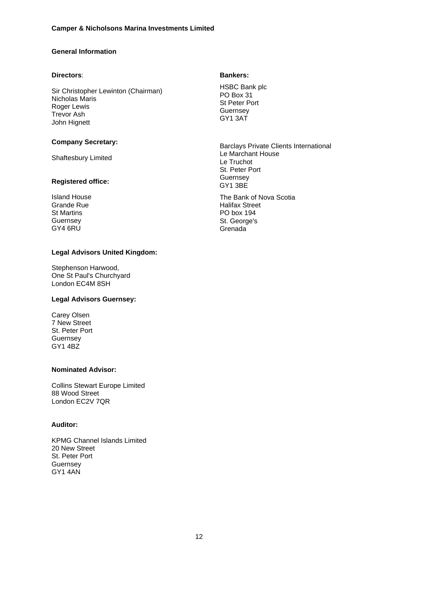# **General Information**

### **Directors**:

Sir Christopher Lewinton (Chairman) Nicholas Maris Roger Lewis Trevor Ash John Hignett

## **Company Secretary:**

Shaftesbury Limited

## **Registered office:**

Island House Grande Rue St Martins Guernsey GY4 6RU

#### **Legal Advisors United Kingdom:**

Stephenson Harwood, One St Paul's Churchyard London EC4M 8SH

## **Legal Advisors Guernsey:**

Carey Olsen 7 New Street St. Peter Port Guernsey GY1 4BZ

## **Nominated Advisor:**

Collins Stewart Europe Limited 88 Wood Street London EC2V 7QR

## **Auditor:**

KPMG Channel Islands Limited 20 New Street St. Peter Port Guernsey GY1 4AN

## **Bankers:**

HSBC Bank plc PO Box 31 St Peter Port **Guernsey** GY1 3AT

Barclays Private Clients International Le Marchant House Le Truchot St. Peter Port Guernsey GY1 3BE

The Bank of Nova Scotia Halifax Street PO box 194 St. George's **Grenada**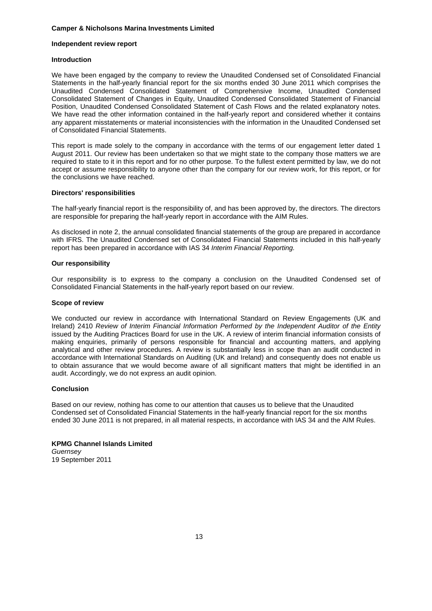### **Independent review report**

## **Introduction**

We have been engaged by the company to review the Unaudited Condensed set of Consolidated Financial Statements in the half-yearly financial report for the six months ended 30 June 2011 which comprises the Unaudited Condensed Consolidated Statement of Comprehensive Income, Unaudited Condensed Consolidated Statement of Changes in Equity, Unaudited Condensed Consolidated Statement of Financial Position, Unaudited Condensed Consolidated Statement of Cash Flows and the related explanatory notes. We have read the other information contained in the half-yearly report and considered whether it contains any apparent misstatements or material inconsistencies with the information in the Unaudited Condensed set of Consolidated Financial Statements.

This report is made solely to the company in accordance with the terms of our engagement letter dated 1 August 2011. Our review has been undertaken so that we might state to the company those matters we are required to state to it in this report and for no other purpose. To the fullest extent permitted by law, we do not accept or assume responsibility to anyone other than the company for our review work, for this report, or for the conclusions we have reached.

## **Directors' responsibilities**

The half-yearly financial report is the responsibility of, and has been approved by, the directors. The directors are responsible for preparing the half-yearly report in accordance with the AIM Rules.

As disclosed in note 2, the annual consolidated financial statements of the group are prepared in accordance with IFRS. The Unaudited Condensed set of Consolidated Financial Statements included in this half-yearly report has been prepared in accordance with IAS 34 *Interim Financial Reporting.*

## **Our responsibility**

Our responsibility is to express to the company a conclusion on the Unaudited Condensed set of Consolidated Financial Statements in the half-yearly report based on our review.

### **Scope of review**

We conducted our review in accordance with International Standard on Review Engagements (UK and Ireland) 2410 *Review of Interim Financial Information Performed by the Independent Auditor of the Entity* issued by the Auditing Practices Board for use in the UK. A review of interim financial information consists of making enquiries, primarily of persons responsible for financial and accounting matters, and applying analytical and other review procedures. A review is substantially less in scope than an audit conducted in accordance with International Standards on Auditing (UK and Ireland) and consequently does not enable us to obtain assurance that we would become aware of all significant matters that might be identified in an audit. Accordingly, we do not express an audit opinion.

## **Conclusion**

Based on our review, nothing has come to our attention that causes us to believe that the Unaudited Condensed set of Consolidated Financial Statements in the half-yearly financial report for the six months ended 30 June 2011 is not prepared, in all material respects, in accordance with IAS 34 and the AIM Rules.

### **KPMG Channel Islands Limited**

*Guernsey* 19 September 2011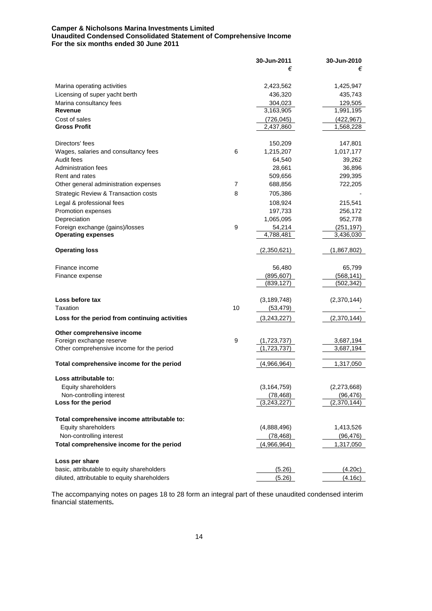## **Camper & Nicholsons Marina Investments Limited Unaudited Condensed Consolidated Statement of Comprehensive Income For the six months ended 30 June 2011**

|                                                |    | 30-Jun-2011   | 30-Jun-2010 |
|------------------------------------------------|----|---------------|-------------|
|                                                |    | €             | €           |
| Marina operating activities                    |    | 2,423,562     | 1,425,947   |
| Licensing of super yacht berth                 |    | 436,320       | 435,743     |
| Marina consultancy fees                        |    | 304,023       | 129,505     |
| Revenue                                        |    | 3,163,905     | 1,991,195   |
| Cost of sales                                  |    | (726, 045)    | (422, 967)  |
| <b>Gross Profit</b>                            |    | 2,437,860     | 1,568,228   |
| Directors' fees                                |    | 150,209       | 147,801     |
| Wages, salaries and consultancy fees           | 6  | 1,215,207     | 1,017,177   |
| Audit fees                                     |    | 64,540        | 39,262      |
| Administration fees                            |    | 28,661        | 36,896      |
| Rent and rates                                 |    | 509,656       | 299,395     |
| Other general administration expenses          | 7  | 688,856       | 722,205     |
| Strategic Review & Transaction costs           | 8  | 705,386       |             |
| Legal & professional fees                      |    | 108,924       | 215,541     |
| Promotion expenses                             |    | 197,733       | 256,172     |
| Depreciation                                   |    | 1,065,095     | 952,778     |
| Foreign exchange (gains)/losses                | 9  | 54,214        | (251, 197)  |
| <b>Operating expenses</b>                      |    | 4,788,481     | 3,436,030   |
| <b>Operating loss</b>                          |    | (2,350,621)   | (1,867,802) |
| Finance income                                 |    | 56,480        | 65,799      |
| Finance expense                                |    | (895, 607)    | (568, 141)  |
|                                                |    | (839, 127)    | (502, 342)  |
| Loss before tax                                |    | (3, 189, 748) | (2,370,144) |
| Taxation                                       | 10 | (53, 479)     |             |
| Loss for the period from continuing activities |    | (3,243,227)   | (2,370,144) |
| Other comprehensive income                     |    |               |             |
| Foreign exchange reserve                       | 9  | (1,723,737)   | 3,687,194   |
| Other comprehensive income for the period      |    | (1,723,737)   | 3,687,194   |
| Total comprehensive income for the period      |    | (4,966,964)   | 1,317,050   |
| Loss attributable to:                          |    |               |             |
| Equity shareholders                            |    | (3, 164, 759) | (2,273,668) |
| Non-controlling interest                       |    | (78, 468)     | (96, 476)   |
| Loss for the period                            |    | (3,243,227)   | (2,370,144) |
| Total comprehensive income attributable to:    |    |               |             |
| Equity shareholders                            |    | (4,888,496)   | 1,413,526   |
| Non-controlling interest                       |    | (78, 468)     | (96, 476)   |
| Total comprehensive income for the period      |    | (4,966,964)   | 1,317,050   |
| Loss per share                                 |    |               |             |
| basic, attributable to equity shareholders     |    | (5.26)        | (4.20c)     |
| diluted, attributable to equity shareholders   |    | (5.26)        | (4.16c)     |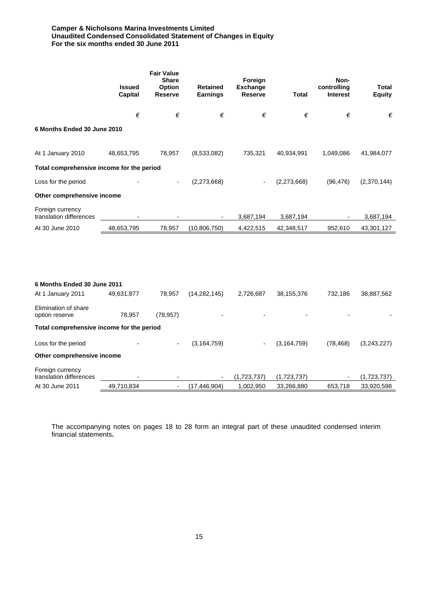## **Camper & Nicholsons Marina Investments Limited Unaudited Condensed Consolidated Statement of Changes in Equity For the six months ended 30 June 2011**

|                                                  | <b>Issued</b><br>Capital | <b>Fair Value</b><br><b>Share</b><br>Option<br><b>Reserve</b> | <b>Retained</b><br><b>Earnings</b> | Foreign<br><b>Exchange</b><br><b>Reserve</b> | Total         | Non-<br>controlling<br><b>Interest</b> | <b>Total</b><br><b>Equity</b> |
|--------------------------------------------------|--------------------------|---------------------------------------------------------------|------------------------------------|----------------------------------------------|---------------|----------------------------------------|-------------------------------|
|                                                  | €                        | €                                                             | €                                  | €                                            | €             | €                                      | €                             |
| 6 Months Ended 30 June 2010                      |                          |                                                               |                                    |                                              |               |                                        |                               |
| At 1 January 2010                                | 48,653,795               | 78,957                                                        | (8,533,082)                        | 735,321                                      | 40,934,991    | 1,049,086                              | 41,984,077                    |
| Total comprehensive income for the period        |                          |                                                               |                                    |                                              |               |                                        |                               |
| Loss for the period                              |                          |                                                               | (2,273,668)                        |                                              | (2,273,668)   | (96, 476)                              | (2,370,144)                   |
| Other comprehensive income                       |                          |                                                               |                                    |                                              |               |                                        |                               |
| Foreign currency<br>translation differences      |                          |                                                               |                                    | 3,687,194                                    | 3,687,194     |                                        | 3,687,194                     |
| At 30 June 2010                                  | 48,653,795               | 78,957                                                        | (10, 806, 750)                     | 4,422,515                                    | 42,348,517    | 952,610                                | 43,301,127                    |
| 6 Months Ended 30 June 2011<br>At 1 January 2011 | 49,631,877               | 78,957                                                        | (14, 282, 145)                     | 2,726,687                                    | 38, 155, 376  | 732,186                                | 38,887,562                    |
| Elimination of share<br>option reserve           | 78,957                   | (78, 957)                                                     |                                    |                                              |               |                                        |                               |
| Total comprehensive income for the period        |                          |                                                               |                                    |                                              |               |                                        |                               |
| Loss for the period                              |                          |                                                               | (3, 164, 759)                      |                                              | (3, 164, 759) | (78, 468)                              | (3,243,227)                   |
| Other comprehensive income                       |                          |                                                               |                                    |                                              |               |                                        |                               |
| Foreign currency<br>translation differences      |                          |                                                               |                                    | (1,723,737)                                  | (1,723,737)   |                                        | (1,723,737)                   |
| At 30 June 2011                                  | 49,710,834               | $\overline{\phantom{a}}$                                      | (17, 446, 904)                     | 1,002,950                                    | 33,266,880    | 653,718                                | 33,920,598                    |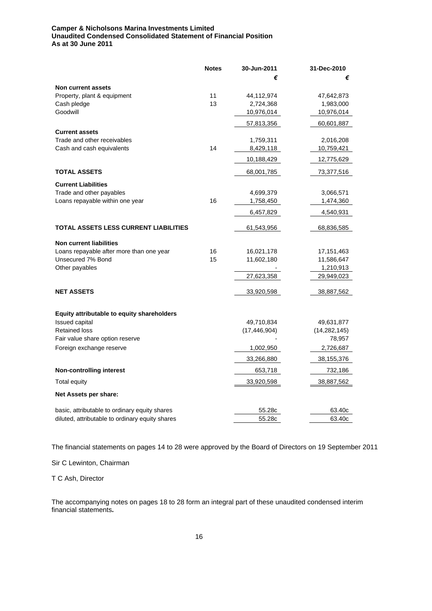## **Camper & Nicholsons Marina Investments Limited Unaudited Condensed Consolidated Statement of Financial Position As at 30 June 2011**

|                                                   | <b>Notes</b> | 30-Jun-2011    | 31-Dec-2010    |
|---------------------------------------------------|--------------|----------------|----------------|
|                                                   |              | €              | €              |
| Non current assets                                |              |                |                |
| Property, plant & equipment                       | 11           | 44,112,974     | 47,642,873     |
| Cash pledge                                       | 13           | 2,724,368      | 1,983,000      |
| Goodwill                                          |              | 10,976,014     | 10,976,014     |
|                                                   |              | 57,813,356     | 60,601,887     |
| <b>Current assets</b>                             |              |                |                |
| Trade and other receivables                       |              | 1,759,311      | 2,016,208      |
| Cash and cash equivalents                         | 14           | 8,429,118      | 10,759,421     |
|                                                   |              | 10,188,429     | 12,775,629     |
| <b>TOTAL ASSETS</b>                               |              | 68,001,785     | 73,377,516     |
| <b>Current Liabilities</b>                        |              |                |                |
| Trade and other payables                          |              | 4,699,379      | 3,066,571      |
| Loans repayable within one year                   | 16           | 1,758,450      | 1,474,360      |
|                                                   |              | 6,457,829      | 4,540,931      |
| <b>TOTAL ASSETS LESS CURRENT LIABILITIES</b>      |              | 61,543,956     | 68,836,585     |
| <b>Non current liabilities</b>                    |              |                |                |
| Loans repayable after more than one year          | 16           | 16,021,178     | 17, 151, 463   |
| Unsecured 7% Bond                                 | 15           | 11,602,180     | 11,586,647     |
| Other payables                                    |              |                | 1,210,913      |
|                                                   |              | 27,623,358     | 29,949,023     |
|                                                   |              |                |                |
| <b>NET ASSETS</b>                                 |              | 33,920,598     | 38,887,562     |
| <b>Equity attributable to equity shareholders</b> |              |                |                |
| <b>Issued capital</b>                             |              | 49,710,834     | 49,631,877     |
| <b>Retained loss</b>                              |              | (17, 446, 904) | (14, 282, 145) |
| Fair value share option reserve                   |              |                | 78,957         |
| Foreign exchange reserve                          |              | 1,002,950      | 2,726,687      |
|                                                   |              | 33,266,880     | 38,155,376     |
| <b>Non-controlling interest</b>                   |              | 653,718        | 732,186        |
| <b>Total equity</b>                               |              | 33,920,598     | 38,887,562     |
| Net Assets per share:                             |              |                |                |
| basic, attributable to ordinary equity shares     |              | 55.28c         | 63.40c         |
| diluted, attributable to ordinary equity shares   |              | 55.28c         | 63.40c         |

The financial statements on pages 14 to 28 were approved by the Board of Directors on 19 September 2011

Sir C Lewinton, Chairman

T C Ash, Director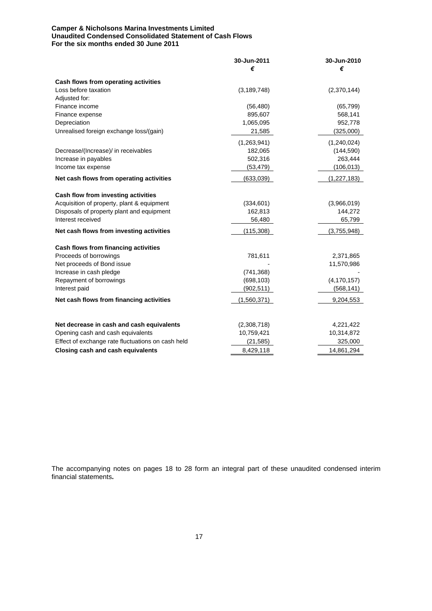## **Camper & Nicholsons Marina Investments Limited Unaudited Condensed Consolidated Statement of Cash Flows For the six months ended 30 June 2011**

|                                                   | 30-Jun-2011<br>€ | 30-Jun-2010<br>€ |
|---------------------------------------------------|------------------|------------------|
|                                                   |                  |                  |
| Cash flows from operating activities              |                  |                  |
| Loss before taxation                              | (3, 189, 748)    | (2,370,144)      |
| Adjusted for:                                     |                  |                  |
| Finance income                                    | (56, 480)        | (65, 799)        |
| Finance expense                                   | 895,607          | 568,141          |
| Depreciation                                      | 1,065,095        | 952,778          |
| Unrealised foreign exchange loss/(gain)           | 21,585           | (325,000)        |
|                                                   | (1,263,941)      | (1,240,024)      |
| Decrease/(Increase)/ in receivables               | 182,065          | (144, 590)       |
| Increase in payables                              | 502,316          | 263,444          |
| Income tax expense                                | (53, 479)        | (106, 013)       |
| Net cash flows from operating activities          | (633,039)        | (1,227,183)      |
| Cash flow from investing activities               |                  |                  |
| Acquisition of property, plant & equipment        | (334, 601)       | (3,966,019)      |
| Disposals of property plant and equipment         | 162,813          | 144,272          |
| Interest received                                 | 56,480           | 65,799           |
| Net cash flows from investing activities          | (115, 308)       | (3,755,948)      |
| Cash flows from financing activities              |                  |                  |
| Proceeds of borrowings                            | 781,611          | 2,371,865        |
| Net proceeds of Bond issue                        |                  | 11,570,986       |
| Increase in cash pledge                           | (741, 368)       |                  |
| Repayment of borrowings                           | (698, 103)       | (4, 170, 157)    |
| Interest paid                                     | (902, 511)       | (568, 141)       |
| Net cash flows from financing activities          | (1,560,371)      | 9,204,553        |
|                                                   |                  |                  |
| Net decrease in cash and cash equivalents         | (2,308,718)      | 4,221,422        |
| Opening cash and cash equivalents                 | 10,759,421       | 10,314,872       |
| Effect of exchange rate fluctuations on cash held | (21, 585)        | 325,000          |
| Closing cash and cash equivalents                 | 8,429,118        | 14,861,294       |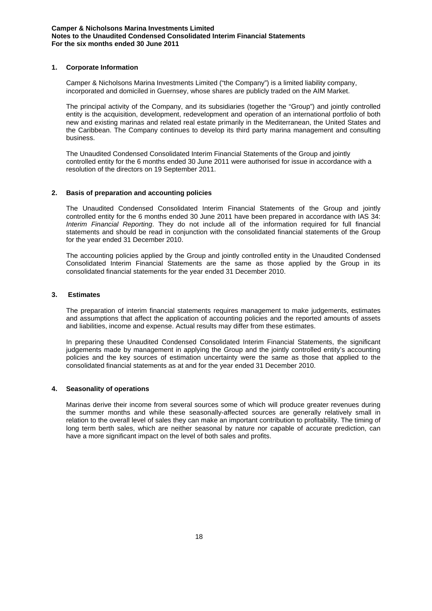## **1. Corporate Information**

Camper & Nicholsons Marina Investments Limited ("the Company") is a limited liability company, incorporated and domiciled in Guernsey, whose shares are publicly traded on the AIM Market.

The principal activity of the Company, and its subsidiaries (together the "Group") and jointly controlled entity is the acquisition, development, redevelopment and operation of an international portfolio of both new and existing marinas and related real estate primarily in the Mediterranean, the United States and the Caribbean. The Company continues to develop its third party marina management and consulting business.

The Unaudited Condensed Consolidated Interim Financial Statements of the Group and jointly controlled entity for the 6 months ended 30 June 2011 were authorised for issue in accordance with a resolution of the directors on 19 September 2011.

## **2. Basis of preparation and accounting policies**

The Unaudited Condensed Consolidated Interim Financial Statements of the Group and jointly controlled entity for the 6 months ended 30 June 2011 have been prepared in accordance with IAS 34: *Interim Financial Reporting*. They do not include all of the information required for full financial statements and should be read in conjunction with the consolidated financial statements of the Group for the year ended 31 December 2010.

The accounting policies applied by the Group and jointly controlled entity in the Unaudited Condensed Consolidated Interim Financial Statements are the same as those applied by the Group in its consolidated financial statements for the year ended 31 December 2010.

## **3. Estimates**

The preparation of interim financial statements requires management to make judgements, estimates and assumptions that affect the application of accounting policies and the reported amounts of assets and liabilities, income and expense. Actual results may differ from these estimates.

In preparing these Unaudited Condensed Consolidated Interim Financial Statements, the significant judgements made by management in applying the Group and the jointly controlled entity's accounting policies and the key sources of estimation uncertainty were the same as those that applied to the consolidated financial statements as at and for the year ended 31 December 2010.

### **4. Seasonality of operations**

Marinas derive their income from several sources some of which will produce greater revenues during the summer months and while these seasonally-affected sources are generally relatively small in relation to the overall level of sales they can make an important contribution to profitability. The timing of long term berth sales, which are neither seasonal by nature nor capable of accurate prediction, can have a more significant impact on the level of both sales and profits.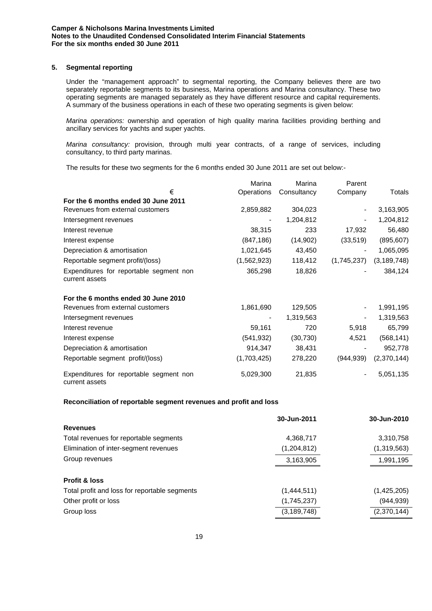## **5. Segmental reporting**

Under the "management approach" to segmental reporting, the Company believes there are two separately reportable segments to its business, Marina operations and Marina consultancy. These two operating segments are managed separately as they have different resource and capital requirements. A summary of the business operations in each of these two operating segments is given below:

*Marina operations:* ownership and operation of high quality marina facilities providing berthing and ancillary services for yachts and super yachts.

*Marina consultancy:* provision, through multi year contracts, of a range of services, including consultancy, to third party marinas.

The results for these two segments for the 6 months ended 30 June 2011 are set out below:-

|                                                           | Marina      | Marina      | Parent      |               |
|-----------------------------------------------------------|-------------|-------------|-------------|---------------|
| €                                                         | Operations  | Consultancy | Company     | Totals        |
| For the 6 months ended 30 June 2011                       |             |             |             |               |
| Revenues from external customers                          | 2,859,882   | 304,023     |             | 3,163,905     |
| Intersegment revenues                                     |             | 1,204,812   |             | 1,204,812     |
| Interest revenue                                          | 38,315      | 233         | 17,932      | 56,480        |
| Interest expense                                          | (847, 186)  | (14, 902)   | (33,519)    | (895, 607)    |
| Depreciation & amortisation                               | 1,021,645   | 43,450      |             | 1,065,095     |
| Reportable segment profit/(loss)                          | (1,562,923) | 118,412     | (1,745,237) | (3, 189, 748) |
| Expenditures for reportable segment non<br>current assets | 365,298     | 18,826      |             | 384,124       |
| For the 6 months ended 30 June 2010                       |             |             |             |               |
| Revenues from external customers                          | 1,861,690   | 129,505     |             | 1,991,195     |
| Intersegment revenues                                     |             | 1,319,563   |             | 1,319,563     |
| Interest revenue                                          | 59,161      | 720         | 5,918       | 65,799        |
| Interest expense                                          | (541, 932)  | (30, 730)   | 4,521       | (568, 141)    |
| Depreciation & amortisation                               | 914,347     | 38,431      |             | 952,778       |
| Reportable segment profit/(loss)                          | (1,703,425) | 278,220     | (944, 939)  | (2,370,144)   |
| Expenditures for reportable segment non<br>current assets | 5,029,300   | 21,835      |             | 5,051,135     |

## **Reconciliation of reportable segment revenues and profit and loss**

|                                               | 30-Jun-2011   | 30-Jun-2010 |
|-----------------------------------------------|---------------|-------------|
| <b>Revenues</b>                               |               |             |
| Total revenues for reportable segments        | 4,368,717     | 3,310,758   |
| Elimination of inter-segment revenues         | (1,204,812)   | (1,319,563) |
| Group revenues                                | 3,163,905     | 1,991,195   |
| <b>Profit &amp; loss</b>                      |               |             |
| Total profit and loss for reportable segments | (1,444,511)   | (1,425,205) |
| Other profit or loss                          | (1,745,237)   | (944, 939)  |
| Group loss                                    | (3, 189, 748) | (2,370,144) |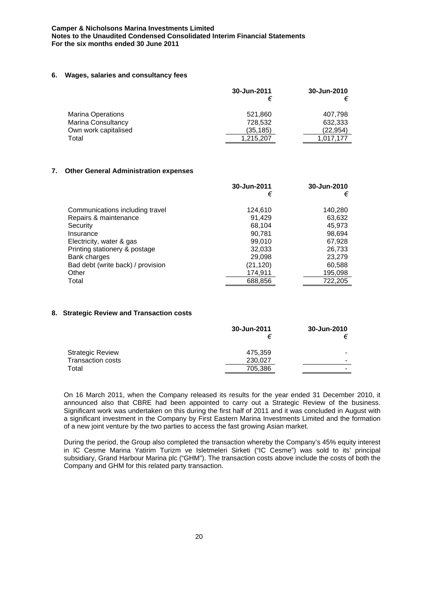### **6. Wages, salaries and consultancy fees**

|                           | 30-Jun-2011 | 30-Jun-2010 |
|---------------------------|-------------|-------------|
| <b>Marina Operations</b>  | 521,860     | 407.798     |
| <b>Marina Consultancy</b> | 728,532     | 632,333     |
| Own work capitalised      | (35, 185)   | (22.954)    |
| Total                     | 1,215,207   | 1.017.177   |

## **7. Other General Administration expenses**

|                                   | 30-Jun-2011 | 30-Jun-2010 |
|-----------------------------------|-------------|-------------|
|                                   | €           | €           |
|                                   |             |             |
| Communications including travel   | 124,610     | 140,280     |
| Repairs & maintenance             | 91,429      | 63,632      |
| Security                          | 68.104      | 45.973      |
| Insurance                         | 90,781      | 98,694      |
| Electricity, water & gas          | 99.010      | 67,928      |
| Printing stationery & postage     | 32,033      | 26,733      |
| Bank charges                      | 29.098      | 23.279      |
| Bad debt (write back) / provision | (21, 120)   | 60,588      |
| Other                             | 174,911     | 195,098     |
| Total                             | 688,856     | 722,205     |

## **8. Strategic Review and Transaction costs**

|                          | 30-Jun-2011 | 30-Jun-2010 |
|--------------------------|-------------|-------------|
| <b>Strategic Review</b>  | 475.359     |             |
| <b>Transaction costs</b> | 230,027     |             |
| Total                    | 705,386     | -           |

On 16 March 2011, when the Company released its results for the year ended 31 December 2010, it announced also that CBRE had been appointed to carry out a Strategic Review of the business. Significant work was undertaken on this during the first half of 2011 and it was concluded in August with a significant investment in the Company by First Eastern Marina Investments Limited and the formation of a new joint venture by the two parties to access the fast growing Asian market.

During the period, the Group also completed the transaction whereby the Company's 45% equity interest in IC Cesme Marina Yatirim Turizm ve Isletmeleri Sirketi ("IC Cesme") was sold to its' principal subsidiary, Grand Harbour Marina plc ("GHM"). The transaction costs above include the costs of both the Company and GHM for this related party transaction.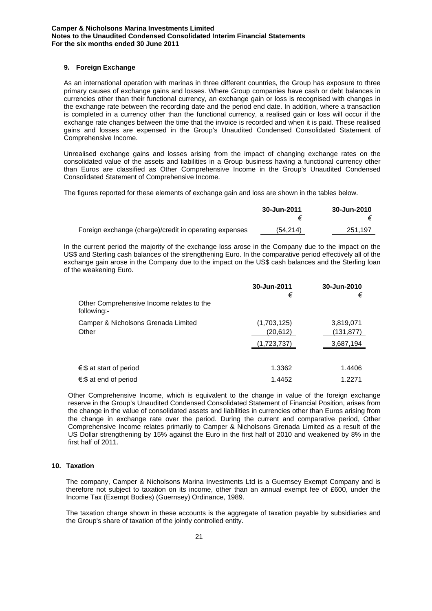## **9. Foreign Exchange**

As an international operation with marinas in three different countries, the Group has exposure to three primary causes of exchange gains and losses. Where Group companies have cash or debt balances in currencies other than their functional currency, an exchange gain or loss is recognised with changes in the exchange rate between the recording date and the period end date. In addition, where a transaction is completed in a currency other than the functional currency, a realised gain or loss will occur if the exchange rate changes between the time that the invoice is recorded and when it is paid. These realised gains and losses are expensed in the Group's Unaudited Condensed Consolidated Statement of Comprehensive Income.

Unrealised exchange gains and losses arising from the impact of changing exchange rates on the consolidated value of the assets and liabilities in a Group business having a functional currency other than Euros are classified as Other Comprehensive Income in the Group's Unaudited Condensed Consolidated Statement of Comprehensive Income.

The figures reported for these elements of exchange gain and loss are shown in the tables below.

|                                                        | 30-Jun-2011 | 30-Jun-2010 |
|--------------------------------------------------------|-------------|-------------|
| Foreign exchange (charge)/credit in operating expenses | (54,214)    | 251,197     |

In the current period the majority of the exchange loss arose in the Company due to the impact on the US\$ and Sterling cash balances of the strengthening Euro. In the comparative period effectively all of the exchange gain arose in the Company due to the impact on the US\$ cash balances and the Sterling loan of the weakening Euro.

|                                                          | 30-Jun-2011<br>€ | 30-Jun-2010<br>€ |
|----------------------------------------------------------|------------------|------------------|
| Other Comprehensive Income relates to the<br>following:- |                  |                  |
| Camper & Nicholsons Grenada Limited                      | (1,703,125)      | 3,819,071        |
| Other                                                    | (20, 612)        | (131,877)        |
|                                                          | (1,723,737)      | 3,687,194        |
| €:\$ at start of period                                  | 1.3362           | 1.4406           |
| €:\$ at end of period                                    | 1.4452           | 1.2271           |

Other Comprehensive Income, which is equivalent to the change in value of the foreign exchange reserve in the Group's Unaudited Condensed Consolidated Statement of Financial Position, arises from the change in the value of consolidated assets and liabilities in currencies other than Euros arising from the change in exchange rate over the period. During the current and comparative period, Other Comprehensive Income relates primarily to Camper & Nicholsons Grenada Limited as a result of the US Dollar strengthening by 15% against the Euro in the first half of 2010 and weakened by 8% in the first half of 2011.

## **10. Taxation**

The company, Camper & Nicholsons Marina Investments Ltd is a Guernsey Exempt Company and is therefore not subject to taxation on its income, other than an annual exempt fee of £600, under the Income Tax (Exempt Bodies) (Guernsey) Ordinance, 1989.

The taxation charge shown in these accounts is the aggregate of taxation payable by subsidiaries and the Group's share of taxation of the jointly controlled entity.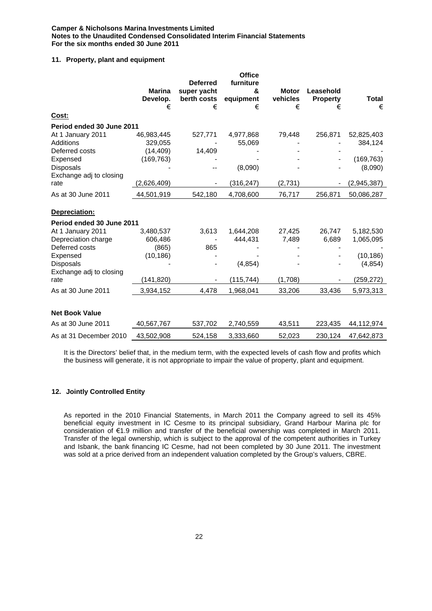# **11. Property, plant and equipment**

|                           |                           |                                               | <b>Office</b>               |                          |                              |              |
|---------------------------|---------------------------|-----------------------------------------------|-----------------------------|--------------------------|------------------------------|--------------|
|                           | <b>Marina</b><br>Develop. | <b>Deferred</b><br>super yacht<br>berth costs | furniture<br>&<br>equipment | <b>Motor</b><br>vehicles | Leasehold<br><b>Property</b> | <b>Total</b> |
|                           | €                         | €                                             | €                           | €                        | €                            | €            |
| Cost:                     |                           |                                               |                             |                          |                              |              |
| Period ended 30 June 2011 |                           |                                               |                             |                          |                              |              |
| At 1 January 2011         | 46,983,445                | 527,771                                       | 4,977,868                   | 79,448                   | 256,871                      | 52,825,403   |
| Additions                 | 329,055                   |                                               | 55,069                      |                          |                              | 384,124      |
| Deferred costs            | (14, 409)                 | 14,409                                        |                             |                          |                              |              |
| Expensed                  | (169, 763)                |                                               |                             |                          |                              | (169, 763)   |
| <b>Disposals</b>          |                           |                                               | (8,090)                     |                          |                              | (8,090)      |
| Exchange adj to closing   |                           |                                               |                             |                          |                              |              |
| rate                      | (2,626,409)               |                                               | (316, 247)                  | (2,731)                  |                              | (2,945,387)  |
| As at 30 June 2011        | 44,501,919                | 542,180                                       | 4,708,600                   | 76,717                   | 256,871                      | 50,086,287   |
| Depreciation:             |                           |                                               |                             |                          |                              |              |
| Period ended 30 June 2011 |                           |                                               |                             |                          |                              |              |
| At 1 January 2011         | 3,480,537                 | 3,613                                         | 1,644,208                   | 27,425                   | 26,747                       | 5,182,530    |
| Depreciation charge       | 606,486                   |                                               | 444,431                     | 7,489                    | 6,689                        | 1,065,095    |
| Deferred costs            | (865)                     | 865                                           |                             |                          |                              |              |
| Expensed                  | (10, 186)                 |                                               |                             |                          |                              | (10, 186)    |
| <b>Disposals</b>          |                           |                                               | (4, 854)                    |                          |                              | (4, 854)     |
| Exchange adj to closing   |                           |                                               |                             |                          |                              |              |
| rate                      | (141, 820)                |                                               | (115, 744)                  | (1,708)                  |                              | (259, 272)   |
| As at 30 June 2011        | 3,934,152                 | 4,478                                         | 1,968,041                   | 33,206                   | 33,436                       | 5,973,313    |
|                           |                           |                                               |                             |                          |                              |              |
| <b>Net Book Value</b>     |                           |                                               |                             |                          |                              |              |
| As at 30 June 2011        | 40,567,767                | 537,702                                       | 2,740,559                   | 43,511                   | 223,435                      | 44,112,974   |
| As at 31 December 2010    | 43,502,908                | 524,158                                       | 3,333,660                   | 52,023                   | 230,124                      | 47,642,873   |

It is the Directors' belief that, in the medium term, with the expected levels of cash flow and profits which the business will generate, it is not appropriate to impair the value of property, plant and equipment.

## **12. Jointly Controlled Entity**

As reported in the 2010 Financial Statements, in March 2011 the Company agreed to sell its 45% beneficial equity investment in IC Cesme to its principal subsidiary, Grand Harbour Marina plc for consideration of €1.9 million and transfer of the beneficial ownership was completed in March 2011. Transfer of the legal ownership, which is subject to the approval of the competent authorities in Turkey and Isbank, the bank financing IC Cesme, had not been completed by 30 June 2011. The investment was sold at a price derived from an independent valuation completed by the Group's valuers, CBRE.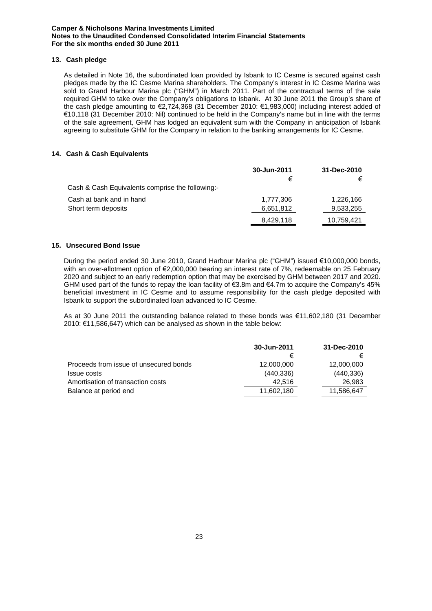## **13. Cash pledge**

As detailed in Note 16, the subordinated loan provided by Isbank to IC Cesme is secured against cash pledges made by the IC Cesme Marina shareholders. The Company's interest in IC Cesme Marina was sold to Grand Harbour Marina plc ("GHM") in March 2011. Part of the contractual terms of the sale required GHM to take over the Company's obligations to Isbank. At 30 June 2011 the Group's share of the cash pledge amounting to €2,724,368 (31 December 2010: €1,983,000) including interest added of €10,118 (31 December 2010: Nil) continued to be held in the Company's name but in line with the terms of the sale agreement, GHM has lodged an equivalent sum with the Company in anticipation of Isbank agreeing to substitute GHM for the Company in relation to the banking arrangements for IC Cesme.

## **14. Cash & Cash Equivalents**

|                                                  | 30-Jun-2011<br>€ | 31-Dec-2010 |
|--------------------------------------------------|------------------|-------------|
| Cash & Cash Equivalents comprise the following:- |                  |             |
| Cash at bank and in hand                         | 1,777,306        | 1,226,166   |
| Short term deposits                              | 6,651,812        | 9,533,255   |
|                                                  | 8,429,118        | 10,759,421  |

## **15. Unsecured Bond Issue**

During the period ended 30 June 2010, Grand Harbour Marina plc ("GHM") issued €10,000,000 bonds, with an over-allotment option of €2,000,000 bearing an interest rate of 7%, redeemable on 25 February 2020 and subject to an early redemption option that may be exercised by GHM between 2017 and 2020. GHM used part of the funds to repay the loan facility of €3.8m and €4.7m to acquire the Company's 45% beneficial investment in IC Cesme and to assume responsibility for the cash pledge deposited with Isbank to support the subordinated loan advanced to IC Cesme.

As at 30 June 2011 the outstanding balance related to these bonds was €11,602,180 (31 December 2010: €11,586,647) which can be analysed as shown in the table below:

|                                        | 30-Jun-2011 | 31-Dec-2010 |
|----------------------------------------|-------------|-------------|
|                                        |             |             |
| Proceeds from issue of unsecured bonds | 12,000,000  | 12,000,000  |
| <b>Issue costs</b>                     | (440, 336)  | (440, 336)  |
| Amortisation of transaction costs      | 42.516      | 26,983      |
| Balance at period end                  | 11,602,180  | 11,586,647  |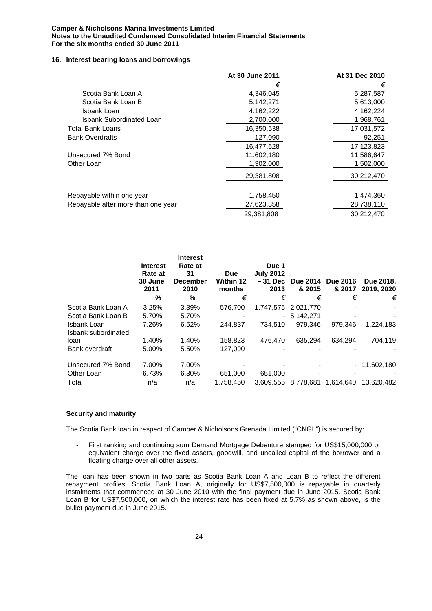## **16. Interest bearing loans and borrowings**

|                                    | At 30 June 2011 | At 31 Dec 2010 |
|------------------------------------|-----------------|----------------|
|                                    | €               | €              |
| Scotia Bank Loan A                 | 4,346,045       | 5,287,587      |
| Scotia Bank Loan B                 | 5,142,271       | 5,613,000      |
| Isbank Loan                        | 4,162,222       | 4,162,224      |
| <b>Isbank Subordinated Loan</b>    | 2,700,000       | 1,968,761      |
| Total Bank Loans                   | 16,350,538      | 17,031,572     |
| <b>Bank Overdrafts</b>             | 127,090         | 92,251         |
|                                    | 16,477,628      | 17,123,823     |
| Unsecured 7% Bond                  | 11,602,180      | 11,586,647     |
| Other Loan                         | 1,302,000       | 1,502,000      |
|                                    | 29,381,808      | 30,212,470     |
|                                    |                 |                |
| Repayable within one year          | 1,758,450       | 1,474,360      |
| Repayable after more than one year | 27,623,358      | 28,738,110     |
|                                    | 29,381,808      | 30,212,470     |

|                                    | <b>Interest</b><br>Rate at<br>30 June<br>2011 | <b>Interest</b><br>Rate at<br>31<br><b>December</b><br>2010 | <b>Due</b><br><b>Within 12</b><br>months | Due 1<br><b>July 2012</b><br>– 31 Dec<br>2013 | <b>Due 2014</b><br>& 2015 | <b>Due 2016</b><br>& 2017 | Due 2018.<br>2019, 2020 |
|------------------------------------|-----------------------------------------------|-------------------------------------------------------------|------------------------------------------|-----------------------------------------------|---------------------------|---------------------------|-------------------------|
|                                    | ℅                                             | %                                                           | €                                        | €                                             | €                         | €                         | €                       |
| Scotia Bank Loan A                 | 3.25%                                         | 3.39%                                                       | 576.700                                  | 1,747,575                                     | 2.021.770                 |                           |                         |
| Scotia Bank Loan B                 | 5.70%                                         | 5.70%                                                       |                                          | $\blacksquare$                                | 5,142,271                 |                           |                         |
| Isbank Loan<br>Isbank subordinated | 7.26%                                         | 6.52%                                                       | 244.837                                  | 734.510                                       | 979.346                   | 979.346                   | 1.224.183               |
| loan                               | 1.40%                                         | 1.40%                                                       | 158.823                                  | 476.470                                       | 635.294                   | 634.294                   | 704.119                 |
| Bank overdraft                     | 5.00%                                         | 5.50%                                                       | 127.090                                  |                                               |                           |                           |                         |
| Unsecured 7% Bond                  | 7.00%                                         | 7.00%                                                       |                                          |                                               |                           |                           | $-11,602,180$           |
| Other Loan                         | 6.73%                                         | 6.30%                                                       | 651,000                                  | 651,000                                       |                           |                           |                         |
| Total                              | n/a                                           | n/a                                                         | 1.758.450                                | 3.609.555                                     | 8,778,681                 | 1.614.640                 | 13.620.482              |

### **Security and maturity**:

The Scotia Bank loan in respect of Camper & Nicholsons Grenada Limited ("CNGL") is secured by:

- First ranking and continuing sum Demand Mortgage Debenture stamped for US\$15,000,000 or equivalent charge over the fixed assets, goodwill, and uncalled capital of the borrower and a floating charge over all other assets.

The loan has been shown in two parts as Scotia Bank Loan A and Loan B to reflect the different repayment profiles. Scotia Bank Loan A, originally for US\$7,500,000 is repayable in quarterly instalments that commenced at 30 June 2010 with the final payment due in June 2015. Scotia Bank Loan B for US\$7,500,000, on which the interest rate has been fixed at 5.7% as shown above, is the bullet payment due in June 2015.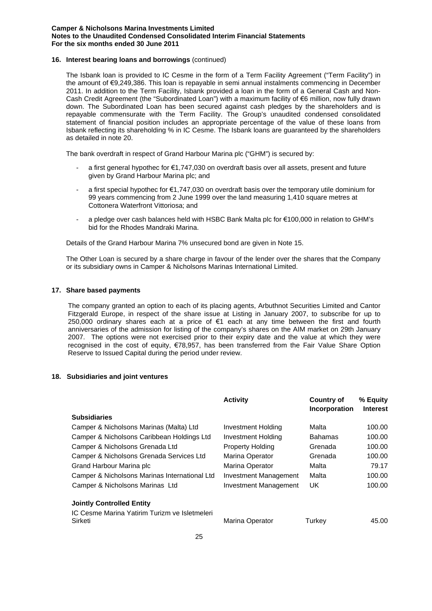## **16. Interest bearing loans and borrowings** (continued)

The Isbank loan is provided to IC Cesme in the form of a Term Facility Agreement ("Term Facility") in the amount of €9,249,386. This loan is repayable in semi annual instalments commencing in December 2011. In addition to the Term Facility, Isbank provided a loan in the form of a General Cash and Non-Cash Credit Agreement (the "Subordinated Loan") with a maximum facility of €6 million, now fully drawn down. The Subordinated Loan has been secured against cash pledges by the shareholders and is repayable commensurate with the Term Facility. The Group's unaudited condensed consolidated statement of financial position includes an appropriate percentage of the value of these loans from Isbank reflecting its shareholding % in IC Cesme. The Isbank loans are guaranteed by the shareholders as detailed in note 20.

The bank overdraft in respect of Grand Harbour Marina plc ("GHM") is secured by:

- a first general hypothec for €1,747,030 on overdraft basis over all assets, present and future given by Grand Harbour Marina plc; and
- a first special hypothec for €1,747,030 on overdraft basis over the temporary utile dominium for 99 years commencing from 2 June 1999 over the land measuring 1,410 square metres at Cottonera Waterfront Vittoriosa; and
- a pledge over cash balances held with HSBC Bank Malta plc for €100,000 in relation to GHM's bid for the Rhodes Mandraki Marina.

Details of the Grand Harbour Marina 7% unsecured bond are given in Note 15.

The Other Loan is secured by a share charge in favour of the lender over the shares that the Company or its subsidiary owns in Camper & Nicholsons Marinas International Limited.

### **17. Share based payments**

The company granted an option to each of its placing agents, Arbuthnot Securities Limited and Cantor Fitzgerald Europe, in respect of the share issue at Listing in January 2007, to subscribe for up to 250,000 ordinary shares each at a price of €1 each at any time between the first and fourth anniversaries of the admission for listing of the company's shares on the AIM market on 29th January 2007. The options were not exercised prior to their expiry date and the value at which they were recognised in the cost of equity, €78,957, has been transferred from the Fair Value Share Option Reserve to Issued Capital during the period under review.

## **18. Subsidiaries and joint ventures**

|                                               | <b>Activity</b>         | <b>Country of</b><br>Incorporation | % Equity<br><b>Interest</b> |
|-----------------------------------------------|-------------------------|------------------------------------|-----------------------------|
| <b>Subsidiaries</b>                           |                         |                                    |                             |
| Camper & Nicholsons Marinas (Malta) Ltd       | Investment Holding      | Malta                              | 100.00                      |
| Camper & Nicholsons Caribbean Holdings Ltd    | Investment Holding      | <b>Bahamas</b>                     | 100.00                      |
| Camper & Nicholsons Grenada Ltd               | <b>Property Holding</b> | Grenada                            | 100.00                      |
| Camper & Nicholsons Grenada Services Ltd      | Marina Operator         | Grenada                            | 100.00                      |
| Grand Harbour Marina plc                      | Marina Operator         | Malta                              | 79.17                       |
| Camper & Nicholsons Marinas International Ltd | Investment Management   | Malta                              | 100.00                      |
| Camper & Nicholsons Marinas Ltd               | Investment Management   | UK.                                | 100.00                      |
| <b>Jointly Controlled Entity</b>              |                         |                                    |                             |
| IC Cesme Marina Yatirim Turizm ve Isletmeleri |                         |                                    |                             |
| Sirketi                                       | Marina Operator         | Turkev                             | 45.00                       |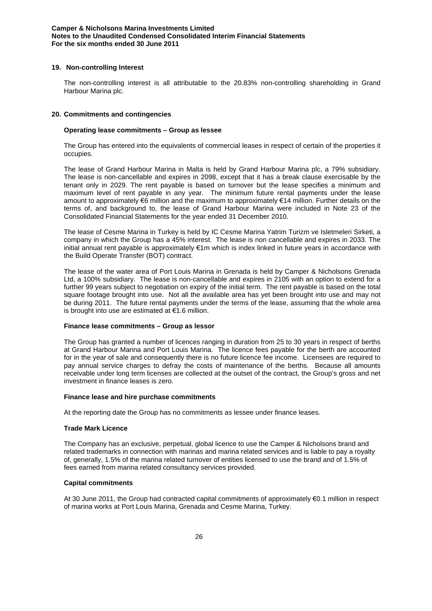## **19. Non-controlling Interest**

The non-controlling interest is all attributable to the 20.83% non-controlling shareholding in Grand Harbour Marina plc.

### **20. Commitments and contingencies**

## **Operating lease commitments – Group as lessee**

The Group has entered into the equivalents of commercial leases in respect of certain of the properties it occupies.

The lease of Grand Harbour Marina in Malta is held by Grand Harbour Marina plc, a 79% subsidiary. The lease is non-cancellable and expires in 2098, except that it has a break clause exercisable by the tenant only in 2029. The rent payable is based on turnover but the lease specifies a minimum and maximum level of rent payable in any year. The minimum future rental payments under the lease amount to approximately €6 million and the maximum to approximately €14 million. Further details on the terms of, and background to, the lease of Grand Harbour Marina were included in Note 23 of the Consolidated Financial Statements for the year ended 31 December 2010.

The lease of Cesme Marina in Turkey is held by IC Cesme Marina Yatrim Turizm ve Isletmeleri Sirketi, a company in which the Group has a 45% interest. The lease is non cancellable and expires in 2033. The initial annual rent payable is approximately €1m which is index linked in future years in accordance with the Build Operate Transfer (BOT) contract.

The lease of the water area of Port Louis Marina in Grenada is held by Camper & Nicholsons Grenada Ltd, a 100% subsidiary. The lease is non-cancellable and expires in 2105 with an option to extend for a further 99 years subject to negotiation on expiry of the initial term. The rent payable is based on the total square footage brought into use. Not all the available area has yet been brought into use and may not be during 2011. The future rental payments under the terms of the lease, assuming that the whole area is brought into use are estimated at €1.6 million.

### **Finance lease commitments – Group as lessor**

The Group has granted a number of licences ranging in duration from 25 to 30 years in respect of berths at Grand Harbour Marina and Port Louis Marina. The licence fees payable for the berth are accounted for in the year of sale and consequently there is no future licence fee income. Licensees are required to pay annual service charges to defray the costs of maintenance of the berths. Because all amounts receivable under long term licenses are collected at the outset of the contract, the Group's gross and net investment in finance leases is zero.

### **Finance lease and hire purchase commitments**

At the reporting date the Group has no commitments as lessee under finance leases.

### **Trade Mark Licence**

The Company has an exclusive, perpetual, global licence to use the Camper & Nicholsons brand and related trademarks in connection with marinas and marina related services and is liable to pay a royalty of, generally, 1.5% of the marina related turnover of entities licensed to use the brand and of 1.5% of fees earned from marina related consultancy services provided.

## **Capital commitments**

At 30 June 2011, the Group had contracted capital commitments of approximately €0.1 million in respect of marina works at Port Louis Marina, Grenada and Cesme Marina, Turkey.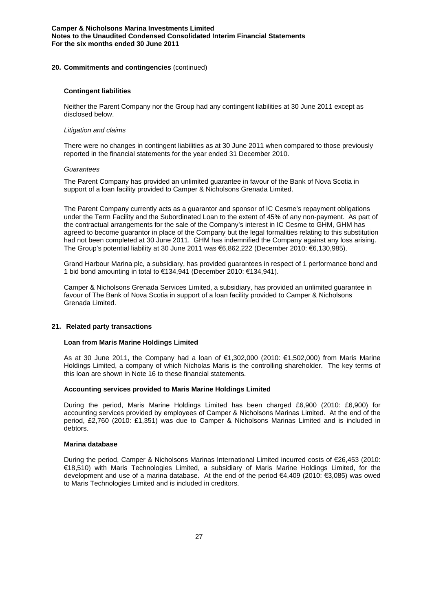### **20. Commitments and contingencies** (continued)

## **Contingent liabilities**

Neither the Parent Company nor the Group had any contingent liabilities at 30 June 2011 except as disclosed below.

### *Litigation and claims*

There were no changes in contingent liabilities as at 30 June 2011 when compared to those previously reported in the financial statements for the year ended 31 December 2010.

### *Guarantees*

The Parent Company has provided an unlimited guarantee in favour of the Bank of Nova Scotia in support of a loan facility provided to Camper & Nicholsons Grenada Limited.

The Parent Company currently acts as a guarantor and sponsor of IC Cesme's repayment obligations under the Term Facility and the Subordinated Loan to the extent of 45% of any non-payment. As part of the contractual arrangements for the sale of the Company's interest in IC Cesme to GHM, GHM has agreed to become guarantor in place of the Company but the legal formalities relating to this substitution had not been completed at 30 June 2011. GHM has indemnified the Company against any loss arising. The Group's potential liability at 30 June 2011 was €6,862,222 (December 2010: €6,130,985).

Grand Harbour Marina plc, a subsidiary, has provided guarantees in respect of 1 performance bond and 1 bid bond amounting in total to €134,941 (December 2010: €134,941).

Camper & Nicholsons Grenada Services Limited, a subsidiary, has provided an unlimited guarantee in favour of The Bank of Nova Scotia in support of a loan facility provided to Camper & Nicholsons Grenada Limited.

## **21. Related party transactions**

## **Loan from Maris Marine Holdings Limited**

As at 30 June 2011, the Company had a loan of €1,302,000 (2010: €1,502,000) from Maris Marine Holdings Limited, a company of which Nicholas Maris is the controlling shareholder. The key terms of this loan are shown in Note 16 to these financial statements.

## **Accounting services provided to Maris Marine Holdings Limited**

During the period, Maris Marine Holdings Limited has been charged £6,900 (2010: £6,900) for accounting services provided by employees of Camper & Nicholsons Marinas Limited. At the end of the period, £2,760 (2010: £1,351) was due to Camper & Nicholsons Marinas Limited and is included in debtors.

### **Marina database**

During the period, Camper & Nicholsons Marinas International Limited incurred costs of €26,453 (2010: €18,510) with Maris Technologies Limited, a subsidiary of Maris Marine Holdings Limited, for the development and use of a marina database. At the end of the period €4,409 (2010: €3,085) was owed to Maris Technologies Limited and is included in creditors.